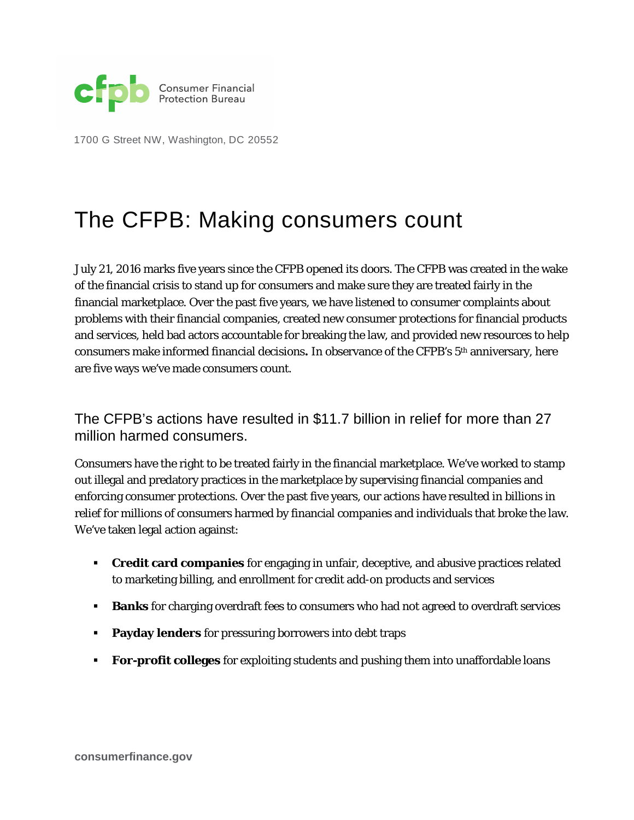

1700 G Street NW, Washington, DC 20552

## The CFPB: Making consumers count

July 21, 2016 marks five years since the CFPB opened its doors. The CFPB was created in the wake of the financial crisis to stand up for consumers and make sure they are treated fairly in the financial marketplace. Over the past five years, we have listened to consumer complaints about problems with their financial companies, created new consumer protections for financial products and services, held bad actors accountable for breaking the law, and provided new resources to help consumers make informed financial decisions**.** In observance of the CFPB's 5th anniversary, here are five ways we've made consumers count.

The CFPB's actions have resulted in \$11.7 billion in relief for more than 27 million harmed consumers.

Consumers have the right to be treated fairly in the financial marketplace. We've worked to stamp out illegal and predatory practices in the marketplace by supervising financial companies and enforcing consumer protections. Over the past five years, our actions have resulted in billions in relief for millions of consumers harmed by financial companies and individuals that broke the law. We've taken legal action against:

- **Credit card companies** for engaging in unfair, deceptive, and abusive practices related to marketing billing, and enrollment for credit add-on products and services
- **Banks** for charging overdraft fees to consumers who had not agreed to overdraft services
- **Payday lenders** for pressuring borrowers into debt traps
- **For-profit colleges** for exploiting students and pushing them into unaffordable loans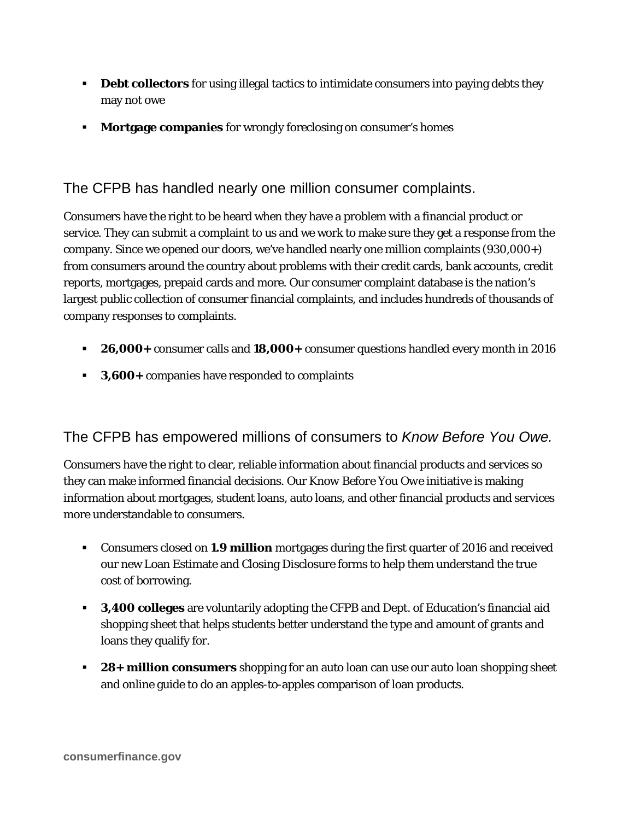- **Debt collectors** for using illegal tactics to intimidate consumers into paying debts they may not owe
- **Mortgage companies** for wrongly foreclosing on consumer's homes

The CFPB has handled nearly one million consumer complaints.

Consumers have the right to be heard when they have a problem with a financial product or service. They can submit a complaint to us and we work to make sure they get a response from the company. Since we opened our doors, we've handled nearly one million complaints (930,000+) from consumers around the country about problems with their credit cards, bank accounts, credit reports, mortgages, prepaid cards and more. Our consumer complaint database is the nation's largest public collection of consumer financial complaints, and includes hundreds of thousands of company responses to complaints.

- **26,000+** consumer calls and **18,000+** consumer questions handled every month in 2016
- **3,600+** companies have responded to complaints

## The CFPB has empowered millions of consumers to *Know Before You Owe.*

Consumers have the right to clear, reliable information about financial products and services so they can make informed financial decisions. Our *Know Before You Owe* initiative is making information about mortgages, student loans, auto loans, and other financial products and services more understandable to consumers.

- Consumers closed on **1.9 million** mortgages during the first quarter of 2016 and received our new Loan Estimate and Closing Disclosure forms to help them understand the true cost of borrowing.
- **3,400 colleges** are voluntarily adopting the CFPB and Dept. of Education's financial aid shopping sheet that helps students better understand the type and amount of grants and loans they qualify for.
- **28+ million consumers** shopping for an auto loan can use our auto loan shopping sheet and online guide to do an apples-to-apples comparison of loan products.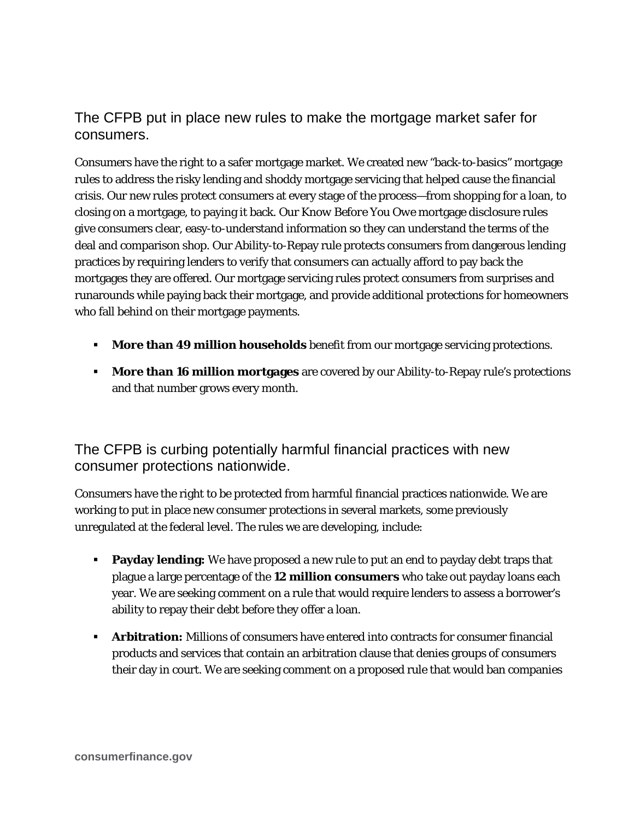## The CFPB put in place new rules to make the mortgage market safer for consumers.

Consumers have the right to a safer mortgage market. We created new "back-to-basics" mortgage rules to address the risky lending and shoddy mortgage servicing that helped cause the financial crisis. Our new rules protect consumers at every stage of the process—from shopping for a loan, to closing on a mortgage, to paying it back. Our *Know Before You Owe* mortgage disclosure rules give consumers clear, easy-to-understand information so they can understand the terms of the deal and comparison shop. Our Ability-to-Repay rule protects consumers from dangerous lending practices by requiring lenders to verify that consumers can actually afford to pay back the mortgages they are offered. Our mortgage servicing rules protect consumers from surprises and runarounds while paying back their mortgage, and provide additional protections for homeowners who fall behind on their mortgage payments.

- **More than 49 million households** benefit from our mortgage servicing protections.
- **More than 16 million mortgages** are covered by our Ability-to-Repay rule's protections and that number grows every month.

## The CFPB is curbing potentially harmful financial practices with new consumer protections nationwide.

Consumers have the right to be protected from harmful financial practices nationwide. We are working to put in place new consumer protections in several markets, some previously unregulated at the federal level. The rules we are developing, include:

- **Payday lending:** We have proposed a new rule to put an end to payday debt traps that plague a large percentage of the **12 million consumers** who take out payday loans each year. We are seeking comment on a rule that would require lenders to assess a borrower's ability to repay their debt before they offer a loan.
- **Arbitration:** Millions of consumers have entered into contracts for consumer financial products and services that contain an arbitration clause that denies groups of consumers their day in court. We are seeking comment on a proposed rule that would ban companies